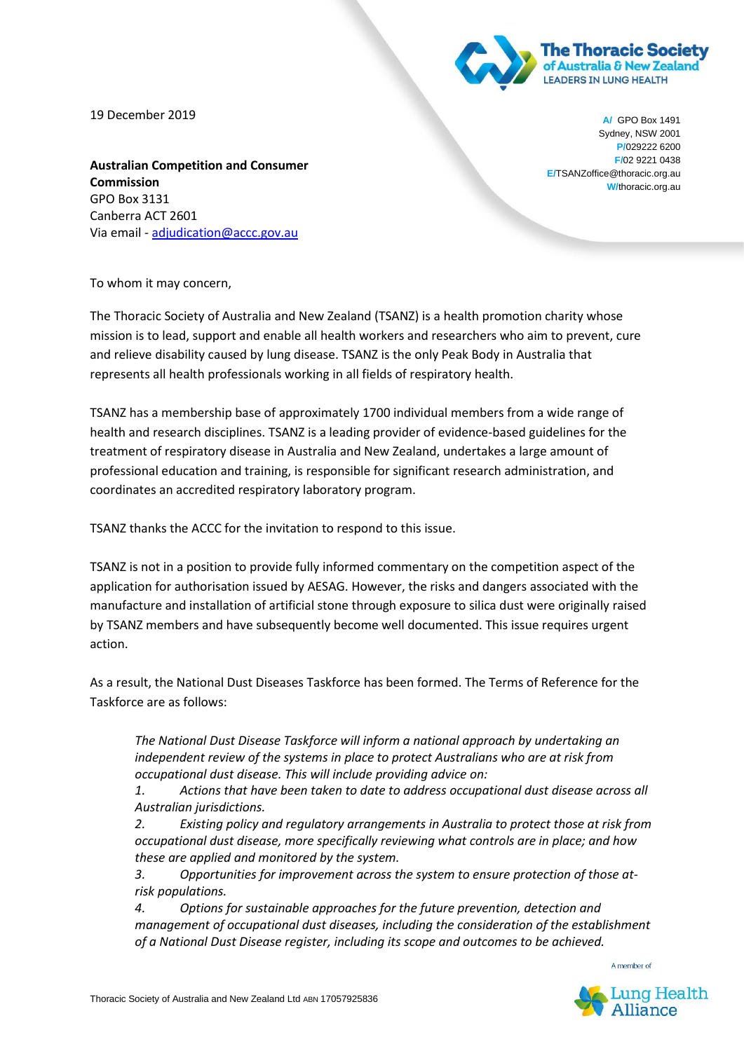

horacic.org.au

**W/thoracic** 

19 December 2019

**Australian Competition and Consumer Commission** GPO Box 3131 Canberra ACT 2601 Via email - [adjudication@accc.gov.au](mailto:adjudication@accc.gov.au)

**A/** GPO Box 1491 Sydney, NSW 2001 **P/**029222 6200 **F/**02 9221 0438 **E/**TSANZoffice@thoracic.org.au **W/**thoracic.org.au

To whom it may concern,

The Thoracic Society of Australia and New Zealand (TSANZ) is a health promotion charity whose mission is to lead, support and enable all health workers and researchers who aim to prevent, cure and relieve disability caused by lung disease. TSANZ is the only Peak Body in Australia that represents all health professionals working in all fields of respiratory health.

TSANZ has a membership base of approximately 1700 individual members from a wide range of health and research disciplines. TSANZ is a leading provider of evidence-based guidelines for the treatment of respiratory disease in Australia and New Zealand, undertakes a large amount of professional education and training, is responsible for significant research administration, and coordinates an accredited respiratory laboratory program.

TSANZ thanks the ACCC for the invitation to respond to this issue.

TSANZ is not in a position to provide fully informed commentary on the competition aspect of the application for authorisation issued by AESAG. However, the risks and dangers associated with the manufacture and installation of artificial stone through exposure to silica dust were originally raised by TSANZ members and have subsequently become well documented. This issue requires urgent action.

As a result, the National Dust Diseases Taskforce has been formed. The Terms of Reference for the Taskforce are as follows:

*The National Dust Disease Taskforce will inform a national approach by undertaking an independent review of the systems in place to protect Australians who are at risk from occupational dust disease. This will include providing advice on:*

*1. Actions that have been taken to date to address occupational dust disease across all Australian jurisdictions.*

*2. Existing policy and regulatory arrangements in Australia to protect those at risk from occupational dust disease, more specifically reviewing what controls are in place; and how these are applied and monitored by the system.*

*3. Opportunities for improvement across the system to ensure protection of those atrisk populations.*

*4. Options for sustainable approaches for the future prevention, detection and management of occupational dust diseases, including the consideration of the establishment of a National Dust Disease register, including its scope and outcomes to be achieved.* 

A member of

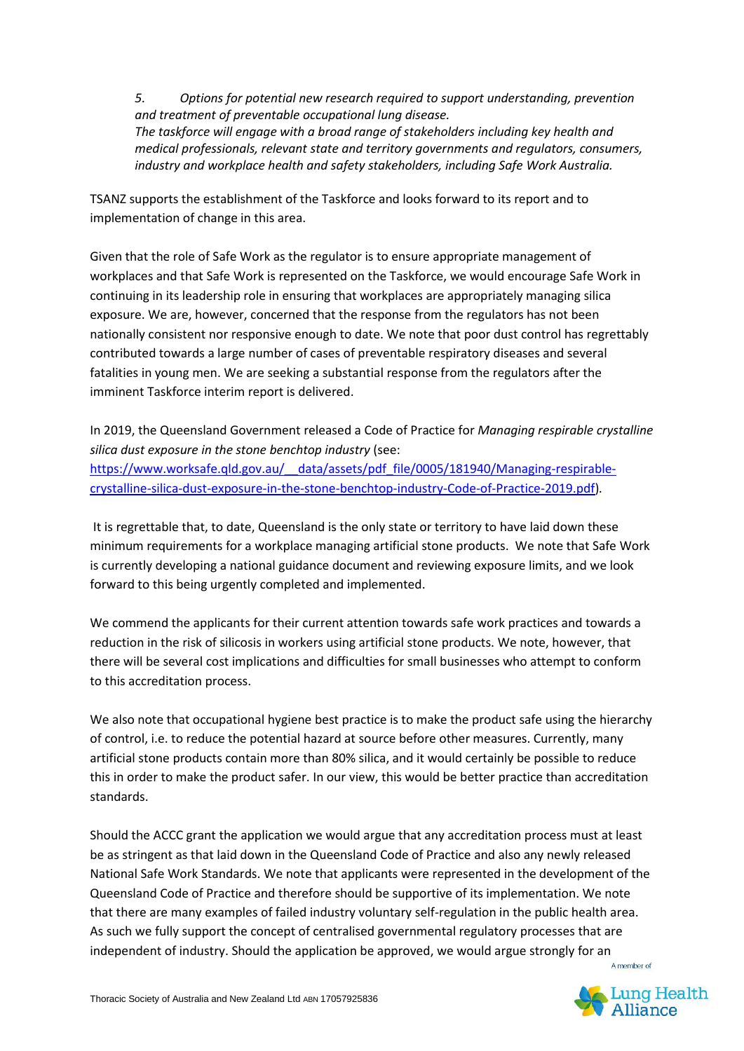*5. Options for potential new research required to support understanding, prevention and treatment of preventable occupational lung disease. The taskforce will engage with a broad range of stakeholders including key health and medical professionals, relevant state and territory governments and regulators, consumers, industry and workplace health and safety stakeholders, including Safe Work Australia.*

TSANZ supports the establishment of the Taskforce and looks forward to its report and to implementation of change in this area.

Given that the role of Safe Work as the regulator is to ensure appropriate management of workplaces and that Safe Work is represented on the Taskforce, we would encourage Safe Work in continuing in its leadership role in ensuring that workplaces are appropriately managing silica exposure. We are, however, concerned that the response from the regulators has not been nationally consistent nor responsive enough to date. We note that poor dust control has regrettably contributed towards a large number of cases of preventable respiratory diseases and several fatalities in young men. We are seeking a substantial response from the regulators after the imminent Taskforce interim report is delivered.

In 2019, the Queensland Government released a Code of Practice for *Managing respirable crystalline silica dust exposure in the stone benchtop industry* (see:

[https://www.worksafe.qld.gov.au/\\_\\_data/assets/pdf\\_file/0005/181940/Managing-respirable](https://www.worksafe.qld.gov.au/__data/assets/pdf_file/0005/181940/Managing-respirable-crystalline-silica-dust-exposure-in-the-stone-benchtop-industry-Code-of-Practice-2019.pdf)[crystalline-silica-dust-exposure-in-the-stone-benchtop-industry-Code-of-Practice-2019.pdf\)](https://www.worksafe.qld.gov.au/__data/assets/pdf_file/0005/181940/Managing-respirable-crystalline-silica-dust-exposure-in-the-stone-benchtop-industry-Code-of-Practice-2019.pdf)*.*

It is regrettable that, to date, Queensland is the only state or territory to have laid down these minimum requirements for a workplace managing artificial stone products. We note that Safe Work is currently developing a national guidance document and reviewing exposure limits, and we look forward to this being urgently completed and implemented.

We commend the applicants for their current attention towards safe work practices and towards a reduction in the risk of silicosis in workers using artificial stone products. We note, however, that there will be several cost implications and difficulties for small businesses who attempt to conform to this accreditation process.

We also note that occupational hygiene best practice is to make the product safe using the hierarchy of control, i.e. to reduce the potential hazard at source before other measures. Currently, many artificial stone products contain more than 80% silica, and it would certainly be possible to reduce this in order to make the product safer. In our view, this would be better practice than accreditation standards.

Should the ACCC grant the application we would argue that any accreditation process must at least be as stringent as that laid down in the Queensland Code of Practice and also any newly released National Safe Work Standards. We note that applicants were represented in the development of the Queensland Code of Practice and therefore should be supportive of its implementation. We note that there are many examples of failed industry voluntary self-regulation in the public health area. As such we fully support the concept of centralised governmental regulatory processes that are independent of industry. Should the application be approved, we would argue strongly for an A member of